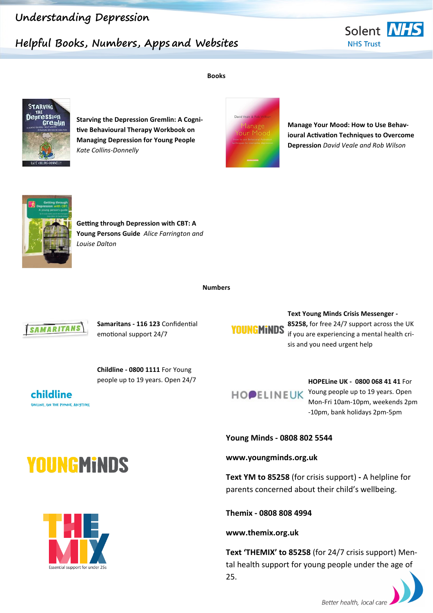#### **Understanding Depression**

#### **Helpful Books, Numbers, Apps and Websites**





**Starving the Depression Gremlin: A Cognitive Behavioural Therapy Workbook on Managing Depression for Young People**  *Kate Collins-Donnelly*



**Manage Your Mood: How to Use Behavioural Activation Techniques to Overcome Depression** *David Veale and Rob Wilson*



**Getting through Depression with CBT: A Young Persons Guide** *Alice Farrington and Louise Dalton*

**Numbers**



**Samaritans - 116 123** Confidential emotional support 24/7

**YOUNGMINDS** 

**Text Young Minds Crisis Messenger - 85258,** for free 24/7 support across the UK if you are experiencing a mental health crisis and you need urgent help

**Childline - 0800 1111** For Young people up to 19 years. Open 24/7 **HOPELine UK - 0800 068 41 41** For

childline ONLINE, ON THE PHONE, ANYTIME

HOPELINEUK Young people up to 19 years. Open Mon-Fri 10am-10pm, weekends 2pm -10pm, bank holidays 2pm-5pm

**Young Minds - 0808 802 5544**

**www.youngminds.org.uk**

**Text YM to 85258** (for crisis support) **-** A helpline for parents concerned about their child's wellbeing.

**Themix - 0808 808 4994**

**www.themix.org.uk**

**Text 'THEMIX' to 85258** (for 24/7 crisis support) Mental health support for young people under the age of 25.







**Books**